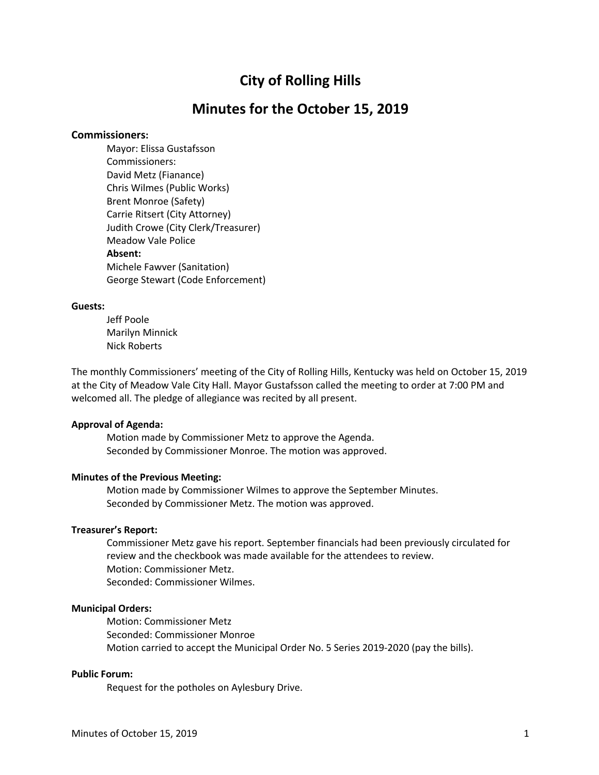# **City of Rolling Hills**

# **Minutes for the October 15, 2019**

## **Commissioners:**

Mayor: Elissa Gustafsson Commissioners: David Metz (Fianance) Chris Wilmes (Public Works) Brent Monroe (Safety) Carrie Ritsert (City Attorney) Judith Crowe (City Clerk/Treasurer) Meadow Vale Police **Absent:** Michele Fawver (Sanitation) George Stewart (Code Enforcement)

# **Guests:**

Jeff Poole Marilyn Minnick Nick Roberts

The monthly Commissioners' meeting of the City of Rolling Hills, Kentucky was held on October 15, 2019 at the City of Meadow Vale City Hall. Mayor Gustafsson called the meeting to order at 7:00 PM and welcomed all. The pledge of allegiance was recited by all present.

## **Approval of Agenda:**

Motion made by Commissioner Metz to approve the Agenda. Seconded by Commissioner Monroe. The motion was approved.

# **Minutes of the Previous Meeting:**

Motion made by Commissioner Wilmes to approve the September Minutes. Seconded by Commissioner Metz. The motion was approved.

# **Treasurer's Report:**

Commissioner Metz gave his report. September financials had been previously circulated for review and the checkbook was made available for the attendees to review. Motion: Commissioner Metz. Seconded: Commissioner Wilmes.

### **Municipal Orders:**

Motion: Commissioner Metz Seconded: Commissioner Monroe Motion carried to accept the Municipal Order No. 5 Series 2019-2020 (pay the bills).

## **Public Forum:**

Request for the potholes on Aylesbury Drive.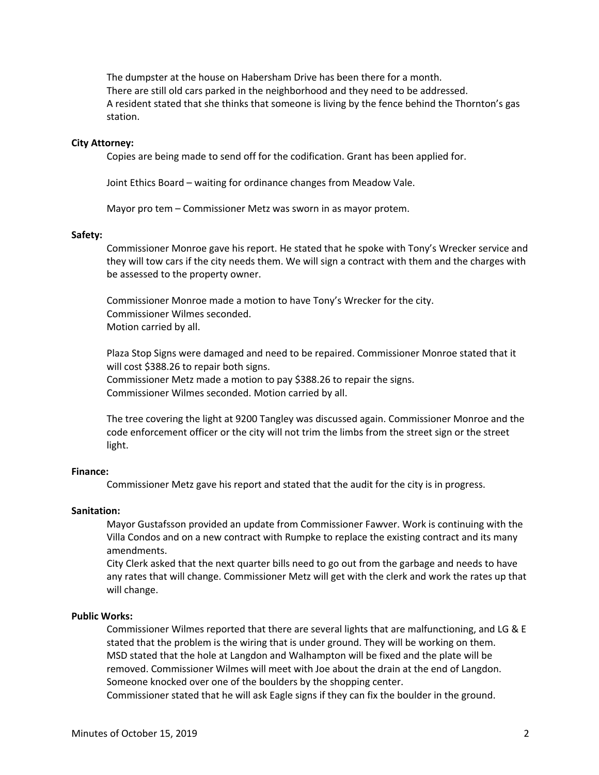The dumpster at the house on Habersham Drive has been there for a month. There are still old cars parked in the neighborhood and they need to be addressed. A resident stated that she thinks that someone is living by the fence behind the Thornton's gas station.

#### **City Attorney:**

Copies are being made to send off for the codification. Grant has been applied for.

Joint Ethics Board – waiting for ordinance changes from Meadow Vale.

Mayor pro tem – Commissioner Metz was sworn in as mayor protem.

#### **Safety:**

Commissioner Monroe gave his report. He stated that he spoke with Tony's Wrecker service and they will tow cars if the city needs them. We will sign a contract with them and the charges with be assessed to the property owner.

Commissioner Monroe made a motion to have Tony's Wrecker for the city. Commissioner Wilmes seconded. Motion carried by all.

Plaza Stop Signs were damaged and need to be repaired. Commissioner Monroe stated that it will cost \$388.26 to repair both signs. Commissioner Metz made a motion to pay \$388.26 to repair the signs. Commissioner Wilmes seconded. Motion carried by all.

The tree covering the light at 9200 Tangley was discussed again. Commissioner Monroe and the code enforcement officer or the city will not trim the limbs from the street sign or the street light.

## **Finance:**

Commissioner Metz gave his report and stated that the audit for the city is in progress.

#### **Sanitation:**

Mayor Gustafsson provided an update from Commissioner Fawver. Work is continuing with the Villa Condos and on a new contract with Rumpke to replace the existing contract and its many amendments.

City Clerk asked that the next quarter bills need to go out from the garbage and needs to have any rates that will change. Commissioner Metz will get with the clerk and work the rates up that will change.

#### **Public Works:**

Commissioner Wilmes reported that there are several lights that are malfunctioning, and LG & E stated that the problem is the wiring that is under ground. They will be working on them. MSD stated that the hole at Langdon and Walhampton will be fixed and the plate will be removed. Commissioner Wilmes will meet with Joe about the drain at the end of Langdon. Someone knocked over one of the boulders by the shopping center.

Commissioner stated that he will ask Eagle signs if they can fix the boulder in the ground.